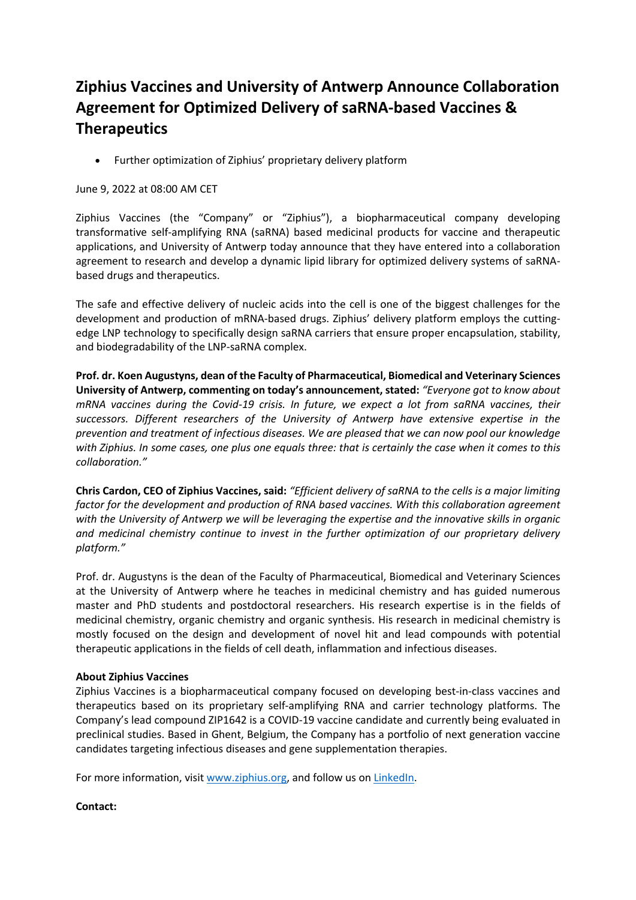## **Ziphius Vaccines and University of Antwerp Announce Collaboration Agreement for Optimized Delivery of saRNA-based Vaccines & Therapeutics**

• Further optimization of Ziphius' proprietary delivery platform

## June 9, 2022 at 08:00 AM CET

Ziphius Vaccines (the "Company" or "Ziphius"), a biopharmaceutical company developing transformative self-amplifying RNA (saRNA) based medicinal products for vaccine and therapeutic applications, and University of Antwerp today announce that they have entered into a collaboration agreement to research and develop a dynamic lipid library for optimized delivery systems of saRNAbased drugs and therapeutics.

The safe and effective delivery of nucleic acids into the cell is one of the biggest challenges for the development and production of mRNA-based drugs. Ziphius' delivery platform employs the cuttingedge LNP technology to specifically design saRNA carriers that ensure proper encapsulation, stability, and biodegradability of the LNP-saRNA complex.

**Prof. dr. Koen Augustyns, dean of the Faculty of Pharmaceutical, Biomedical and Veterinary Sciences University of Antwerp, commenting on today's announcement, stated:** *"Everyone got to know about mRNA vaccines during the Covid-19 crisis. In future, we expect a lot from saRNA vaccines, their successors. Different researchers of the University of Antwerp have extensive expertise in the prevention and treatment of infectious diseases. We are pleased that we can now pool our knowledge with Ziphius. In some cases, one plus one equals three: that is certainly the case when it comes to this collaboration."*

**Chris Cardon, CEO of Ziphius Vaccines, said:** *"Efficient delivery of saRNA to the cells is a major limiting factor for the development and production of RNA based vaccines. With this collaboration agreement with the University of Antwerp we will be leveraging the expertise and the innovative skills in organic and medicinal chemistry continue to invest in the further optimization of our proprietary delivery platform."*

Prof. dr. Augustyns is the dean of the Faculty of Pharmaceutical, Biomedical and Veterinary Sciences at the University of Antwerp where he teaches in medicinal chemistry and has guided numerous master and PhD students and postdoctoral researchers. His research expertise is in the fields of medicinal chemistry, organic chemistry and organic synthesis. His research in medicinal chemistry is mostly focused on the design and development of novel hit and lead compounds with potential therapeutic applications in the fields of cell death, inflammation and infectious diseases.

## **About Ziphius Vaccines**

Ziphius Vaccines is a biopharmaceutical company focused on developing best-in-class vaccines and therapeutics based on its proprietary self-amplifying RNA and carrier technology platforms. The Company's lead compound ZIP1642 is a COVID-19 vaccine candidate and currently being evaluated in preclinical studies. Based in Ghent, Belgium, the Company has a portfolio of next generation vaccine candidates targeting infectious diseases and gene supplementation therapies.

For more information, visit www.ziphius.org, and follow us on LinkedIn.

## **Contact:**